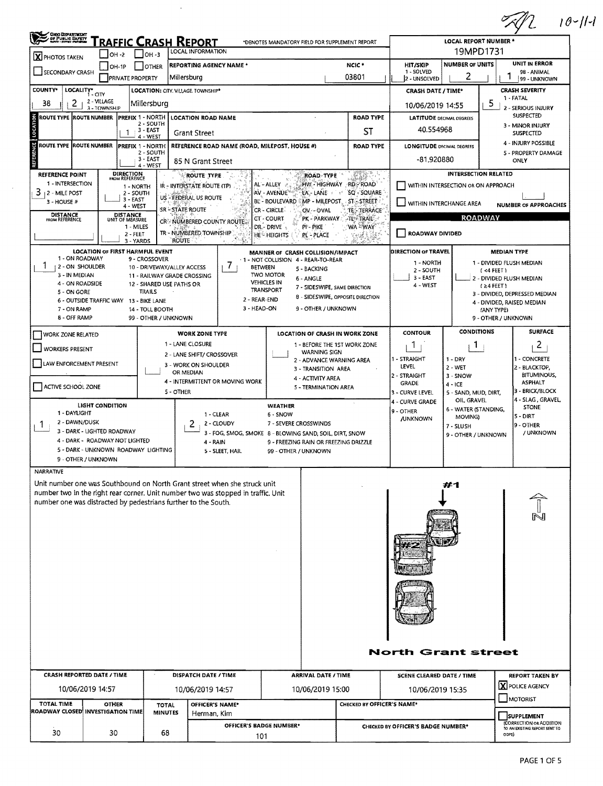|                                                                                                                                                                                                                                                                                                                      |                                                                                  |                                                                                                                                                           |                                                                                                |                                                                                                                 |                                                                                                                                                                |                                                                                                                           |                                                                                                                                                            |                                                                                                                                                                                               |                                                                                   |                                                                                     |                                                                                           | $10 - 11 - 1$                                                                                                       |  |  |  |
|----------------------------------------------------------------------------------------------------------------------------------------------------------------------------------------------------------------------------------------------------------------------------------------------------------------------|----------------------------------------------------------------------------------|-----------------------------------------------------------------------------------------------------------------------------------------------------------|------------------------------------------------------------------------------------------------|-----------------------------------------------------------------------------------------------------------------|----------------------------------------------------------------------------------------------------------------------------------------------------------------|---------------------------------------------------------------------------------------------------------------------------|------------------------------------------------------------------------------------------------------------------------------------------------------------|-----------------------------------------------------------------------------------------------------------------------------------------------------------------------------------------------|-----------------------------------------------------------------------------------|-------------------------------------------------------------------------------------|-------------------------------------------------------------------------------------------|---------------------------------------------------------------------------------------------------------------------|--|--|--|
| <b>OHO DEPARTMENT</b><br>or Pueue Saram                                                                                                                                                                                                                                                                              |                                                                                  |                                                                                                                                                           |                                                                                                | <u>'RAFFIC CRASH REPORT</u>                                                                                     |                                                                                                                                                                |                                                                                                                           | *DENOTES MANDATORY FIELD FOR SUPPLEMENT REPORT                                                                                                             |                                                                                                                                                                                               |                                                                                   | <b>LOCAL REPORT NUMBER *</b>                                                        |                                                                                           |                                                                                                                     |  |  |  |
| он -з<br>$OH - 2$<br><b>X</b> PHOTOS TAKEN                                                                                                                                                                                                                                                                           |                                                                                  |                                                                                                                                                           |                                                                                                | <b>LOCAL INFORMATION</b>                                                                                        |                                                                                                                                                                |                                                                                                                           |                                                                                                                                                            | 19MPD1731                                                                                                                                                                                     |                                                                                   |                                                                                     |                                                                                           |                                                                                                                     |  |  |  |
| <b>REPORTING AGENCY NAME *</b><br>$[OH-1P]$<br><b>OTHER</b><br>SECONDARY CRASH<br>Millersburg<br><b>PRIVATE PROPERTY</b>                                                                                                                                                                                             |                                                                                  |                                                                                                                                                           |                                                                                                |                                                                                                                 |                                                                                                                                                                |                                                                                                                           |                                                                                                                                                            | NCIC <sup>+</sup><br>03801                                                                                                                                                                    | HIT/SKIP<br>1 - SOLVED<br>2 - UNSOLVED                                            | <b>NUMBER OF UNITS</b><br>2                                                         |                                                                                           | UNIT IN ERROR<br>98 - ANIMAL<br>1<br>99 - UNKNOWN                                                                   |  |  |  |
| <b>COUNTY*</b><br>LOCALITY* CITY<br><b>LOCATION: CITY. VILLAGE. TOWNSHIP*</b>                                                                                                                                                                                                                                        |                                                                                  |                                                                                                                                                           |                                                                                                |                                                                                                                 |                                                                                                                                                                |                                                                                                                           |                                                                                                                                                            |                                                                                                                                                                                               | <b>CRASH DATE / TIME*</b>                                                         |                                                                                     |                                                                                           | <b>CRASH SEVERITY</b>                                                                                               |  |  |  |
| 2<br>38                                                                                                                                                                                                                                                                                                              | 2 - VILLAGE<br>3 - TOWNSHIP                                                      |                                                                                                                                                           | Millersburg                                                                                    |                                                                                                                 |                                                                                                                                                                |                                                                                                                           |                                                                                                                                                            |                                                                                                                                                                                               | 10/06/2019 14:55                                                                  |                                                                                     | 5                                                                                         | 1 - FATAL<br>2 - SERIOUS INJURY                                                                                     |  |  |  |
| ROUTE TYPE ROUTE NUMBER                                                                                                                                                                                                                                                                                              |                                                                                  |                                                                                                                                                           | <b>PREFIX 1 - NORTH</b>                                                                        |                                                                                                                 | <b>LOCATION ROAD NAME</b>                                                                                                                                      |                                                                                                                           |                                                                                                                                                            | <b>ROAD TYPE</b>                                                                                                                                                                              | <b>LATITUDE DECIMAL DEGREES</b>                                                   |                                                                                     |                                                                                           | <b>SUSPECTED</b>                                                                                                    |  |  |  |
|                                                                                                                                                                                                                                                                                                                      | 2 - SOUTH<br>3 - EAST<br>-1<br><b>Grant Street</b><br>4 - WEST                   |                                                                                                                                                           |                                                                                                |                                                                                                                 |                                                                                                                                                                |                                                                                                                           |                                                                                                                                                            | ST                                                                                                                                                                                            | 40.554968                                                                         |                                                                                     |                                                                                           | 3 - MINOR INJURY<br><b>SUSPECTED</b>                                                                                |  |  |  |
| ₩.<br>ROUTE TYPE ROUTE NUMBER<br><b>PREFIX 1 - NORTH</b><br>REFERENCE ROAD NAME (ROAD, MILEPOST, HOUSE #)<br>2 - SOUTH<br>3 - EAST<br>85 N Grant Street<br>4 - WEST                                                                                                                                                  |                                                                                  |                                                                                                                                                           |                                                                                                |                                                                                                                 |                                                                                                                                                                |                                                                                                                           |                                                                                                                                                            | <b>ROAD TYPE</b>                                                                                                                                                                              |                                                                                   | 4 - INJURY POSSIBLE<br>5 - PROPERTY DAMAGE<br>ONLY                                  |                                                                                           |                                                                                                                     |  |  |  |
| <b>REFERENCE POINT</b><br>1 - INTERSECTION<br>$3 + 2 -$ MILE POST<br>3 - HOUSE #<br><b>DISTANCE</b><br>FROM REFERENCE                                                                                                                                                                                                |                                                                                  | <b>DIRECTION</b><br>FROM REFERENCE<br>1 - NORTH<br>2 - SOUTH<br>3 - EAST<br>4 - WEST<br>DISTANCE<br>UNIT OF MEASURE<br>1 - MILES<br>2 - FEET<br>3 - YARDS |                                                                                                | IR - INTERSTATE ROUTE (TP)<br>US - FEDERAL US ROUTE<br>SR-STATE ROUTE<br>TR - NUMBERED TOWNSHIP<br><b>ROUTE</b> | ROUTE TYPE<br>CR'- NUMBERED COUNTY ROUTE.                                                                                                                      | AL-ALLEY v<br>AV - AVENUE<br><b>BE - BOULEVARD</b><br><b>CR - CIRCLE</b><br>CT - COURT<br>DR - DRIVE<br><b>HE HEIGHTS</b> | <b>ROAD TYPE</b><br>HW - HIGHWAY<br>LA - LANE<br>$\mathcal{L}$<br>OV - OVAL<br>PK - PARKWAY<br>PI-PIKE<br>PL - PLACE                                       | <b>ANSET</b><br>RD - ROAD<br>SQ - SQUARE<br>$\mathfrak{h}^+$<br>$~\,$ MP - MILEPOST $_{\circ}$ - ST $_{\circ}$ -STREET -<br>TE - TERRACE<br>$ATU = TRA  U =$<br>'WA <sup>2</sup> WAY"<br>安ましま | WITHIN INTERCHANGE AREA<br><b>ROADWAY DIVIDED</b>                                 | <b>INTERSECTION RELATED</b><br>WITHIN INTERSECTION OR ON APPROACH<br><b>ROADWAY</b> |                                                                                           | <b>NUMBER OF APPROACHES</b>                                                                                         |  |  |  |
| 1 - ON ROADWAY<br><b>2 - ON SHOULDER</b><br>3 - IN MEDIAN<br>4 - ON ROADSIDE<br>5 - ON GORE<br>7 - ON RAMP<br>8 - OFF RAMP                                                                                                                                                                                           | <b>LOCATION OF FIRST HARMFUL EVENT</b><br>6 - OUTSIDE TRAFFIC WAY 13 - BIKE LANE |                                                                                                                                                           | 9 - CROSSOVER<br>12 - SHARED USE PATHS OR<br>TRAILS<br>14 - TOLL BOOTH<br>99 - OTHER / UNKNOWN | 10 - DRIVEWAY/ALLEY ACCESS<br>11 - RAILWAY GRADE CROSSING                                                       | $\sqrt{ }$<br><b>BETWEEN</b><br>2 - REAR-END<br>3 - HEAD-ON                                                                                                    | <b>TWO MOTOR</b><br><b>VEHICLES IN</b><br><b>TRANSPORT</b>                                                                | MANNER OF CRASH COLLISION/IMPACT<br>1 - NOT COLLISION 4 - REAR-TO-REAR<br>5 - BACKING<br>6 - ANGLE<br>7 - SIDESWIPE, SAME DIRECTION<br>9 - OTHER / UNKNOWN | 8 - SIDESWIPE, OPPOSITE DIRECTION                                                                                                                                                             | <b>DIRECTION OF TRAVEL</b><br>1 - NORTH<br>2 - SOUTH<br>3 - EAST<br>4 - WEST      |                                                                                     | <b>MEDIAN TYPE</b><br>$($ <4 FEET $)$<br>$(24$ FEET)<br>(ANY TYPE)<br>9 - OTHER / UNKNOWN | 1 - DIVIDED FLUSH MEDIAN<br>2 - DIVIDED FLUSH MEDIAN<br>3 - DIVIDED, DEPRESSED MEDIAN<br>4 - DIVIDED, RAISED MEDIAN |  |  |  |
| <b>WORK ZONE TYPE</b><br><b>WORK ZONE RELATED</b>                                                                                                                                                                                                                                                                    |                                                                                  |                                                                                                                                                           |                                                                                                |                                                                                                                 |                                                                                                                                                                |                                                                                                                           |                                                                                                                                                            | LOCATION OF CRASH IN WORK ZONE                                                                                                                                                                | <b>CONTOUR</b>                                                                    | <b>CONDITIONS</b>                                                                   |                                                                                           | <b>SURFACE</b>                                                                                                      |  |  |  |
| <b>WORKERS PRESENT</b>                                                                                                                                                                                                                                                                                               |                                                                                  |                                                                                                                                                           |                                                                                                | 1 - LANE CLOSURE                                                                                                | 2 - LANE SHIFT/ CROSSOVER                                                                                                                                      |                                                                                                                           | WARNING SIGN                                                                                                                                               | 1 - BEFORE THE 1ST WORK ZONE                                                                                                                                                                  | $\perp$                                                                           | Т.                                                                                  |                                                                                           | $\overline{2}$                                                                                                      |  |  |  |
| LAW ENFORCEMENT PRESENT                                                                                                                                                                                                                                                                                              |                                                                                  |                                                                                                                                                           |                                                                                                | 3 - WORK ON SHOULDER                                                                                            |                                                                                                                                                                |                                                                                                                           | 2 - ADVANCE WARNING AREA<br>3 - TRANSITION AREA                                                                                                            |                                                                                                                                                                                               | 1 - STRAIGHT<br>LEVEL                                                             | $1 - DRY$<br>2 - WET                                                                |                                                                                           | 1 - CONCRETE<br>2 - BLACKTOP,                                                                                       |  |  |  |
| OR MEDIAN<br>4 - INTERMITTENT OR MOVING WORK<br>ACTIVE SCHOOL ZONE<br>5 - OTHER                                                                                                                                                                                                                                      |                                                                                  |                                                                                                                                                           |                                                                                                |                                                                                                                 |                                                                                                                                                                |                                                                                                                           | 4 - ACTIVITY AREA<br>5 - TERMINATION AREA                                                                                                                  |                                                                                                                                                                                               | 2 - STRAIGHT<br>GRADE<br>3 - CURVE LEVEL                                          | 3 - SNOW<br>$4 - ICE$<br>5 - SAND, MUD, DIRT,<br>OIL, GRAVEL                        |                                                                                           | <b>BITUMINOUS,</b><br><b>ASPHALT</b><br>3 - BRICK/BLOCK<br>4 - SLAG , GRAVEL,                                       |  |  |  |
| <b>LIGHT CONDITION</b><br>1 - DAYLIGHT<br>1 - CLEAR<br>2 - DAWN/DUSK<br>2<br>2 - CLOUDY<br>1<br>3 - DARK - LIGHTED ROADWAY<br>3 - FOG, SMOG, SMOKE 8 - BLOWING SAND, SOIL, DIRT, SNOW<br>4 - DARK - ROADWAY NOT LIGHTED<br>4 - RAIN<br>5 - DARK - UNKNOWN ROADWAY LIGHTING<br>5 - SLEET, HAIL<br>9 - OTHER / UNKNOWN |                                                                                  |                                                                                                                                                           |                                                                                                |                                                                                                                 | WEATHER<br>6 - SNOW<br>7 - SEVERE CROSSWINDS<br>99 - OTHER / UNKNOWN                                                                                           | 9 - FREEZING RAIN OR FREEZING DRIZZLE                                                                                     |                                                                                                                                                            | 4 - CURVE GRADE<br>9 - OTHER<br><b>/UNKNOWN</b>                                                                                                                                               | 6 - WATER (STANDING,<br>MOVING)<br>7 - SLUSH<br>9 - OTHER / UNKNOWN               |                                                                                     | <b>STONE</b><br>5 - DIRT<br>9 - OTHER<br>/ UNKNOWN                                        |                                                                                                                     |  |  |  |
| <b>NARRATIVE</b>                                                                                                                                                                                                                                                                                                     |                                                                                  |                                                                                                                                                           |                                                                                                |                                                                                                                 |                                                                                                                                                                |                                                                                                                           |                                                                                                                                                            |                                                                                                                                                                                               |                                                                                   |                                                                                     |                                                                                           |                                                                                                                     |  |  |  |
| number one was distracted by pedestrians further to the South.                                                                                                                                                                                                                                                       |                                                                                  |                                                                                                                                                           |                                                                                                |                                                                                                                 | Unit number one was Southbound on North Grant street when she struck unit<br>number two in the right rear corner. Unit number two was stopped in traffic. Unit |                                                                                                                           |                                                                                                                                                            |                                                                                                                                                                                               |                                                                                   | #1                                                                                  |                                                                                           |                                                                                                                     |  |  |  |
| CRASH REPORTED DATE / TIME                                                                                                                                                                                                                                                                                           | 10/06/2019 14:57                                                                 |                                                                                                                                                           |                                                                                                |                                                                                                                 | DISPATCH DATE / TIME<br>10/06/2019 14:57                                                                                                                       |                                                                                                                           | <b>ARRIVAL DATE / TIME</b><br>10/06/2019 15:00                                                                                                             |                                                                                                                                                                                               | <b>North Grant street</b><br><b>SCENE CLEARED DATE / TIME</b><br>10/06/2019 15:35 |                                                                                     |                                                                                           | <b>REPORT TAKEN BY</b><br>X POLICE AGENCY<br>MOTORIST                                                               |  |  |  |
| <b>TOTAL TIME</b><br><b>OTHER</b><br><b>TOTAL</b><br>ROADWAY CLOSED INVESTIGATION TIME<br><b>MINUTES</b>                                                                                                                                                                                                             |                                                                                  |                                                                                                                                                           |                                                                                                |                                                                                                                 | OFFICER'S NAME*<br>Herman, Kim                                                                                                                                 | CHECKED BY OFFICER'S NAME*                                                                                                |                                                                                                                                                            |                                                                                                                                                                                               |                                                                                   |                                                                                     |                                                                                           | SUPPLEMENT                                                                                                          |  |  |  |
| 30                                                                                                                                                                                                                                                                                                                   | 30                                                                               |                                                                                                                                                           | 68                                                                                             |                                                                                                                 | <b>OFFICER'S BADGE NUMBER*</b><br>101                                                                                                                          |                                                                                                                           |                                                                                                                                                            |                                                                                                                                                                                               | CHECKED BY OFFICER'S BADGE NUMBER*                                                |                                                                                     |                                                                                           | <b>CORRECTION OR ADDITION</b><br>TO AN EXISTING REPORT SENT TO<br>ODPS)                                             |  |  |  |

 $\bar{\lambda}$ 

 $\mathcal{L}_{\mathcal{L}}$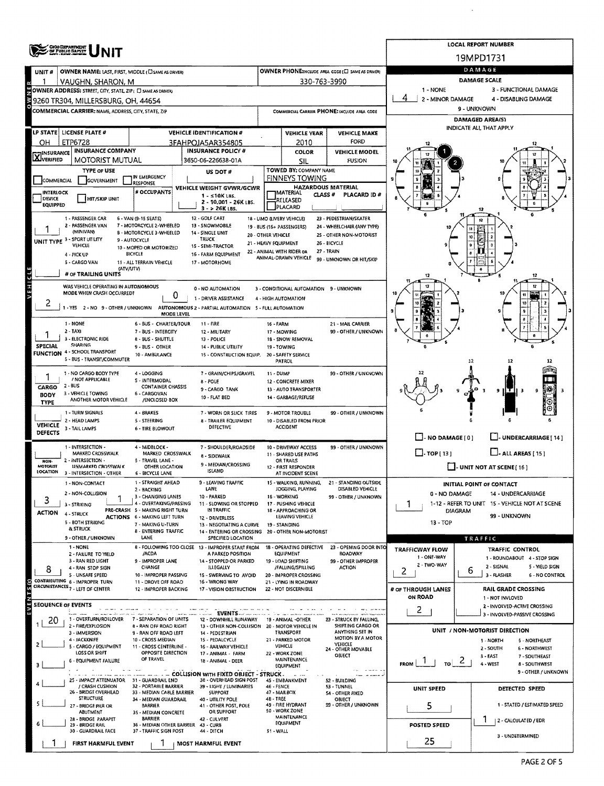|                                                                                                                                                                                                                            |                                                              |                                                               |                                                                                          |                                                                   |                                                   |                                                   |                                                                       | <b>LOCAL REPORT NUMBER</b>                             |  |  |  |  |  |
|----------------------------------------------------------------------------------------------------------------------------------------------------------------------------------------------------------------------------|--------------------------------------------------------------|---------------------------------------------------------------|------------------------------------------------------------------------------------------|-------------------------------------------------------------------|---------------------------------------------------|---------------------------------------------------|-----------------------------------------------------------------------|--------------------------------------------------------|--|--|--|--|--|
|                                                                                                                                                                                                                            | <b>CHOO DEPARTMENT</b><br>OF PUBLIC SAFETY                   |                                                               |                                                                                          |                                                                   |                                                   |                                                   |                                                                       | 19MPD1731                                              |  |  |  |  |  |
| UNIT <sub>#</sub>                                                                                                                                                                                                          | OWNER NAME: LAST, FIRST, MIDDLE (C) SAME AS DRIVERY          |                                                               |                                                                                          |                                                                   |                                                   | OWNER PHONE:INCLUDE AREA CODE (E) SAME AS DRIVERY |                                                                       | DAMAGE                                                 |  |  |  |  |  |
|                                                                                                                                                                                                                            | VAUGHN, SHARON, M                                            |                                                               | 330-763-3990                                                                             | <b>DAMAGE SCALE</b>                                               |                                                   |                                                   |                                                                       |                                                        |  |  |  |  |  |
|                                                                                                                                                                                                                            | OWNER ADDRESS: STREET, CITY, STATE, ZIP( D SAME AS DRIVER)   | $1 - NONE$                                                    | 3 - FUNCTIONAL DAMAGE<br>4 - DISABLING DAMAGE                                            |                                                                   |                                                   |                                                   |                                                                       |                                                        |  |  |  |  |  |
|                                                                                                                                                                                                                            | 9260 TR304, MILLERSBURG, OH, 44654                           |                                                               |                                                                                          | 2 - MINOR DAMAGE                                                  | 9 - UNKNOWN                                       |                                                   |                                                                       |                                                        |  |  |  |  |  |
|                                                                                                                                                                                                                            | COMMERCIAL CARRIER; NAME, ADDRESS, CITY, STATE, ZIP          |                                                               |                                                                                          |                                                                   |                                                   | COMMERCIAL CARRIER PHONE: INCLUDE AREA CODE       |                                                                       | <b>DAMAGED AREA(S)</b>                                 |  |  |  |  |  |
|                                                                                                                                                                                                                            | LP STATE   LICENSE PLATE #                                   |                                                               | <b>VEHICLE IDENTIFICATION #</b>                                                          |                                                                   | <b>VEHICLE YEAR</b>                               | <b>VEHICLE MAKE</b>                               |                                                                       | INDICATE ALL THAT APPLY                                |  |  |  |  |  |
| OH                                                                                                                                                                                                                         | ETP6728                                                      |                                                               | 3FAHPOJA5AR354805                                                                        |                                                                   | 2010                                              | FORD                                              |                                                                       |                                                        |  |  |  |  |  |
| <b>X</b> INSURANCE                                                                                                                                                                                                         | <b>INSURANCE COMPANY</b>                                     |                                                               | <b>INSURANCE POLICY #</b>                                                                |                                                                   | <b>COLOR</b>                                      | <b>VEHICLE MODEL</b>                              |                                                                       |                                                        |  |  |  |  |  |
|                                                                                                                                                                                                                            | MOTORIST MUTUAL                                              |                                                               | 3650-06-226638-01A                                                                       |                                                                   | SIL                                               | <b>FUSION</b>                                     |                                                                       |                                                        |  |  |  |  |  |
| COMMERCIAL                                                                                                                                                                                                                 | <b>TYPE OF USE</b><br>GOVERNMENT                             | IN EMERGENCY                                                  | US DOT#                                                                                  |                                                                   | TOWED BY: COMPANY NAME<br><b>FINNEYS TOWING</b>   |                                                   |                                                                       |                                                        |  |  |  |  |  |
| <b>INTERLOCK</b>                                                                                                                                                                                                           |                                                              | <b>RESPONSE</b><br># OCCUPANTS                                | VEHICLE WEIGHT GVWR/GCWR                                                                 |                                                                   |                                                   | <b>HAZARDOUS MATERIAL</b>                         |                                                                       |                                                        |  |  |  |  |  |
| DEVICE                                                                                                                                                                                                                     | HIT/SKIP UNIT                                                |                                                               | $1 - 510K$ LBS.<br>2 - 10,001 - 26K LBS.                                                 | <b>IMATERIAL</b><br>CLASS <sup>#</sup><br>PLACARD ID#<br>RELEASED |                                                   |                                                   |                                                                       |                                                        |  |  |  |  |  |
| <b>EQUIPPED</b><br>PLACARD<br>$3 - 26K$ LBS.                                                                                                                                                                               |                                                              |                                                               |                                                                                          |                                                                   |                                                   |                                                   |                                                                       |                                                        |  |  |  |  |  |
|                                                                                                                                                                                                                            | 1 - PASSENGER CAR<br>2 - PASSENGER VAN                       | 6 - VAN (9-15 SEATS)<br>7 - MOTORCYCLE 2-WHEELED              | 12 - GOLF CART<br>13 - SNOWMOBILE                                                        |                                                                   | 18 - LIMO (LIVERY VEHICLE)                        | 23 - PEDESTRIAN/SKATER                            |                                                                       | 12                                                     |  |  |  |  |  |
| 24 - WHEELCHAIR (ANY TYPE)<br>19 - BUS (16+ PASSENGERS)<br>(MINIVAN)<br>8 - MOTORCYCLE 3-WHEELED<br>14 - SINGLE UNIT<br>20 - OTHER VEHICLE<br>25 - OTHER NON-MOTORIST<br>10<br>UNIT TYPE 3 - SPORT UTILITY<br><b>TRUCK</b> |                                                              |                                                               |                                                                                          |                                                                   |                                                   |                                                   |                                                                       |                                                        |  |  |  |  |  |
|                                                                                                                                                                                                                            | VEHICLE                                                      | 9 - AUTOCYCLE<br>10 - MOPED OR MOTORIZED                      | 15 - SEMI-TRACTOR                                                                        |                                                                   | 21 - HEAVY EQUIPMENT                              | 26 - BICYCLE<br>27 - TRAIN                        |                                                                       |                                                        |  |  |  |  |  |
|                                                                                                                                                                                                                            | 4 - PICK UP<br>5 - CARGO VAN                                 | BICYCLE<br>11 - ALL TERRAIN VEHICLE                           | 16 - FARM EQUIPMENT<br>17 - MOTORHOME                                                    |                                                                   | 22 - ANIMAL WITH RIDER OR<br>ANIMAL-DRAWN VEHICLE | 99 - UNKNOWN OR HIT/SKIP                          |                                                                       |                                                        |  |  |  |  |  |
|                                                                                                                                                                                                                            | (ATV/UTV)<br># OF TRAILING UNITS                             |                                                               |                                                                                          |                                                                   |                                                   |                                                   |                                                                       |                                                        |  |  |  |  |  |
| <b>AEHICTE</b>                                                                                                                                                                                                             | WAS VEHICLE OPERATING IN AUTONOMOUS                          |                                                               |                                                                                          |                                                                   |                                                   |                                                   |                                                                       |                                                        |  |  |  |  |  |
|                                                                                                                                                                                                                            | MODE WHEN CRASH OCCURRED?                                    | 0                                                             | 0 - NO AUTOMATION<br>1 - DRIVER ASSISTANCE                                               |                                                                   | 3 - CONDITIONAL AUTOMATION 9 - UNKNOWN            |                                                   |                                                                       |                                                        |  |  |  |  |  |
| 4                                                                                                                                                                                                                          |                                                              |                                                               | 1 - YES 2 - NO 9 - OTHER / UNKNOWN AUTONOMOUS 2 - PARTIAL AUTOMATION 5 - FULL AUTOMATION |                                                                   | 4 - HIGH AUTOMATION                               |                                                   |                                                                       |                                                        |  |  |  |  |  |
|                                                                                                                                                                                                                            |                                                              | MODE LEVEL                                                    |                                                                                          |                                                                   |                                                   |                                                   |                                                                       |                                                        |  |  |  |  |  |
|                                                                                                                                                                                                                            | 1 - NONE<br>$2 - TAXI$                                       | 6 - BUS - CHARTER/TOUR<br>7 - BUS - INTERCITY                 | $11 - FIRE$<br>12 - MILITARY                                                             | 16 - FARM                                                         | 17 - MOWING                                       | 21 - MAIL CARRIER<br>99 - OTHER / UNKNOWN         |                                                                       |                                                        |  |  |  |  |  |
|                                                                                                                                                                                                                            | - ELECTRONIC RIDE<br><b>SHARING</b>                          | 8 - BUS - SHUTTLE                                             | 13 - POLICE                                                                              |                                                                   | 18 - SNOW REMOVAL                                 |                                                   |                                                                       |                                                        |  |  |  |  |  |
| <b>SPECIAL</b>                                                                                                                                                                                                             | <b>FUNCTION 4 - SCHOOL TRANSPORT</b>                         | 9 - BUS - OTHER<br>10 - AMBULANCE                             | 14 - PUBLIC UTILITY<br>15 - CONSTRUCTION EQUIP. 20 - SAFETY SERVICE                      |                                                                   | 19 - TOWING                                       |                                                   |                                                                       |                                                        |  |  |  |  |  |
|                                                                                                                                                                                                                            | 5 - BUS - TRANSIT/COMMUTER                                   |                                                               |                                                                                          |                                                                   | PATROL                                            |                                                   |                                                                       | 12                                                     |  |  |  |  |  |
|                                                                                                                                                                                                                            | 1 - NO CARGO BODY TYPE<br>/ NOT APPLICABLE                   | 4 - LOGGING<br>S - INTERMODAL                                 | 7 - GRAIN/CHIPS/GRAVEL                                                                   | 11 - DUMP                                                         |                                                   | 99 - OTHER / UNKNOWN                              |                                                                       |                                                        |  |  |  |  |  |
| CARGO                                                                                                                                                                                                                      | $2 - BUS$                                                    | <b>CONTAINER CHASSIS</b>                                      | B - POLE<br>9 - CARGO TANK                                                               |                                                                   | 12 - CONCRETE MIXER<br>13 - AUTO TRANSPORTER      |                                                   |                                                                       | ۹                                                      |  |  |  |  |  |
| BODY<br><b>TYPE</b>                                                                                                                                                                                                        | 3 - VEHICLE TOWING<br>ANOTHER MOTOR VEHICLE                  | 6 - CARGOVAN<br>/ENCLOSED BOX                                 | 10 - FLAT 8ED                                                                            |                                                                   | 14 - GARBAGE/REFUSE                               |                                                   |                                                                       |                                                        |  |  |  |  |  |
|                                                                                                                                                                                                                            | 1 - TURN SIGNALS                                             | 4 - BRAKES                                                    | 7 - WORN OR SLICK TIRES                                                                  |                                                                   | 9 - MOTOR TROUBLE                                 | 99 - OTHER / UNKNOWN                              |                                                                       |                                                        |  |  |  |  |  |
| <b>VEHICLE</b>                                                                                                                                                                                                             | 2 - HEAD LAMPS<br>3 - TAIL LAMPS                             | 5 - STEERING<br><b>6 - TIRE BLOWOUT</b>                       | 8 - TRAILER EQUIPMENT<br>DEFECTIVE                                                       |                                                                   | 10 - DISABLED FROM PRIOR<br><b>ACCIDENT</b>       |                                                   |                                                                       |                                                        |  |  |  |  |  |
| <b>DEFECTS</b>                                                                                                                                                                                                             |                                                              |                                                               |                                                                                          |                                                                   |                                                   |                                                   | $\Box$ - NO DAMAGE [ 0 ]                                              | $\Box$ - UNDERCARRIAGE [ 14 ]                          |  |  |  |  |  |
|                                                                                                                                                                                                                            | 1 - INTERSECTION -<br>MARKED CROSSWALK                       | 4 - MIDBLOCK -<br>MARKED CROSSWALK                            | 7 - SHOULDER/ROADSIDE                                                                    |                                                                   | 10 - DRIVEWAY ACCESS                              | 99 - OTHER / UNKNOWN                              | $\Box$ TOP[13]                                                        | $\Box$ - ALL AREAS [ 15 ]                              |  |  |  |  |  |
| NON-                                                                                                                                                                                                                       | 2 - INTERSECTION -                                           | 5 - TRAVEL LANE -                                             | 8 - SIDEWALK<br>9 - MEDIAN/CROSSING                                                      |                                                                   | 11 - SHARED USE PATHS<br>OR TRAILS                |                                                   | $\Box$ - UNIT NOT AT SCENE [16]                                       |                                                        |  |  |  |  |  |
| MOTORIST<br>LOCATION                                                                                                                                                                                                       | <b>UNMARKED CROSSWALK</b><br>3 - INTERSECTION - OTHER        | OTHER LOCATION<br>6 - BICYCLE LANE                            | ISLAND                                                                                   |                                                                   | 12 - FIRST RESPONDER<br>AT INCIDENT SCENE         |                                                   |                                                                       |                                                        |  |  |  |  |  |
|                                                                                                                                                                                                                            | 1 - NON-CONTACT                                              | 1 - STRAIGHT AHEAD                                            | 9 - LEAVING TRAFFIC                                                                      |                                                                   | 15 - WALKING, RUNNING,                            | 21 - STANDING OUTSIDE                             |                                                                       | <b>INITIAL POINT OF CONTACT</b>                        |  |  |  |  |  |
| 3                                                                                                                                                                                                                          | 2 - NON-COLLISION                                            | 2 - BACKING<br>3 - CHANGING LANES                             | LANE<br>10 - PARKED                                                                      |                                                                   | JOGGING, PLAYING<br>16 - WORKING                  | DISABLED VEHICLE<br>99 - OTHER / UNKNOWN          | 0 - NO DAMAGE                                                         | 14 - UNDERCARRIAGE                                     |  |  |  |  |  |
|                                                                                                                                                                                                                            | 3 - STRIKING                                                 | 4 - OVERTAKING/PASSING<br>PRE-CRASH 5 - MAKING RIGHT TURN     | 11 - SLOWING OR STOPPED<br>IN TRAFFIC                                                    |                                                                   | 17 - PUSHING VEHICLE<br>18 - APPROACHING OR       |                                                   | 1<br>1-12 - REFER TO UNIT 15 - VEHICLE NOT AT SCENE<br><b>DIAGRAM</b> |                                                        |  |  |  |  |  |
| ACTION                                                                                                                                                                                                                     | 4 - STRUCK<br>5 - BOTH STRIKING                              | <b>ACTIONS 6 - MAKING LEFT TURN</b><br>7 - MAKING U-TURN      | 12 - DRIVERLESS                                                                          |                                                                   | LEAVING VEHICLE                                   |                                                   | $13 - TOP$                                                            | 99 - UNKNOWN                                           |  |  |  |  |  |
|                                                                                                                                                                                                                            | <b>&amp; STRUCK</b>                                          | 8 - ENTERING TRAFFIC                                          | 13 - NEGOTIATING A CURVE<br>14 - ENTERING OR CROSSING 20 - OTHER NON-MOTORIST            |                                                                   | 19 - STANDING                                     |                                                   |                                                                       |                                                        |  |  |  |  |  |
|                                                                                                                                                                                                                            | 9 - OTHER / UNKNOWN<br>1 - NONE                              | LANE                                                          | SPECIFIED LOCATION<br>8 - FOLLOWING TOO CLOSE 13 - IMPROPER START FROM                   |                                                                   | 18 - OPERATING DEFECTIVE                          | 23 - OPENING DOOR INTO                            |                                                                       | TRAFFIC                                                |  |  |  |  |  |
|                                                                                                                                                                                                                            | 2 - FAILURE TO YIELD                                         | /ACDA                                                         | A PARKED POSITION                                                                        |                                                                   | EQUIPMENT                                         | ROADWAY                                           | <b>TRAFFICWAY FLOW</b><br>1 - ONE-WAY                                 | TRAFFIC CONTROL<br>1 - ROUNDABOUT 4 - STOP SIGN        |  |  |  |  |  |
| 8                                                                                                                                                                                                                          | 3 - RAN RED LIGHT<br>4 - RAN STOP SIGN                       | 9 - IMPROPER LANE<br>CHANGE                                   | 14 - STOPPED OR PARKED<br>ILLEGALLY                                                      |                                                                   | 19 - LOAD SHIFTING<br>/FALLING/SPILLING           | 99 - OTHER IMPROPER<br><b>ACTION</b>              | 2 - TWO-WAY<br>2                                                      | 2 - SIGNAL<br>5 - YILLD SIGN<br>6                      |  |  |  |  |  |
|                                                                                                                                                                                                                            | 5 - UNSAFE SPEED<br>CONTRIBUTING 6 - IMPROPER TURN           | 10 - IMPROPER PASSING<br>11 - DROVE OFF ROAD                  | 15 - SWERVING TO AVOID<br>16 - WRONG WAY                                                 |                                                                   | 20 - IMPROPER CROSSING<br>21 - LYING IN ROADWAY   |                                                   |                                                                       | 3 - FLASHER<br>6 - NO CONTROL                          |  |  |  |  |  |
| VENTS <sub>(S)</sub>                                                                                                                                                                                                       | CIRCUMSTANCES <sub>7</sub> - LEFT OF CENTER                  | 12 - IMPROPER BACKING                                         | 17 - VISION OBSTRUCTION                                                                  |                                                                   | 22 - NOT DISCERNIBLE                              |                                                   | # OF THROUGH LANES                                                    | <b>RAIL GRADE CROSSING</b>                             |  |  |  |  |  |
| <b>SEQUENCE OF EVENTS</b>                                                                                                                                                                                                  |                                                              |                                                               |                                                                                          |                                                                   |                                                   |                                                   | ON ROAD                                                               | 1 - NOT INVLOVED<br>2 - INVOLVED-ACTIVE CROSSING       |  |  |  |  |  |
|                                                                                                                                                                                                                            |                                                              |                                                               | $\sim$ EVENTS                                                                            |                                                                   |                                                   |                                                   | $\mathbf{2}$                                                          | 3 - INVOLVED-PASSIVE CROSSING                          |  |  |  |  |  |
| 20                                                                                                                                                                                                                         | 1 - OVERTURN/ROLLOVER<br>2 - FIRE/EXPLOSION                  | 7 - SEPARATION OF UNITS<br><b>8 - RAN OFF ROAD RIGHT</b>      | 12 - DOWNHILL RUNAWAY<br>13 - OTHER NON-COLLISION 20 - MOTOR VEHICLE IN                  |                                                                   | 19 - ANIMAL - OTHER                               | 23 - STRUCK BY FALLING,<br>SHIFTING CARGO OR      |                                                                       | UNIT / NON-MOTORIST DIRECTION                          |  |  |  |  |  |
|                                                                                                                                                                                                                            | 3 - IMMERSION<br>4 - JACKKNIFE                               | 9 - RAN OFF ROAD LEFT<br>10 - CROSS MEDIAN                    | 14 - PEDESTRIAN<br>15 - PEDALCYCLE                                                       |                                                                   | <b>TRANSPORT</b><br>21 - PARKED MOTOR             | ANYTHING SET IN<br><b>MOTION BY A MOTOR</b>       |                                                                       | 1 - NORTH<br>5 - NORTHEAST                             |  |  |  |  |  |
|                                                                                                                                                                                                                            | 5 - CARGO / EQUIPMENT<br>LOSS OR SHIFT                       | 11 - CROSS CENTERLINE -<br>OPPOSITE DIRECTION                 | 16 - RAILWAY VEHICLE<br>17 - ANIMAL - FARM                                               |                                                                   | VEHICLE<br>22 - WORK ZONE                         | VEHICLE<br>24 - OTHER MOVABLE                     |                                                                       | 2 - SOUTH<br>6 - NORTHWEST                             |  |  |  |  |  |
|                                                                                                                                                                                                                            | 6 - EQUIPMENT FAILURE                                        | OF TRAVEL                                                     | 18 - ANIMAL - DEER                                                                       |                                                                   | <b>MAINTENANCE</b><br>EQUIPMENT                   | OBJECT                                            | $\tau_0$ 2<br>$\mathbf{I}$<br><b>FROM</b>                             | 3 - EAST<br>7 - SOUTHEAST<br>4 - WEST<br>8 - SOUTHWEST |  |  |  |  |  |
| 9 - OTHER / UNKNOWN<br><b>LEARLE COLLISION WITH FIXED OBJECT - STRUCK.</b><br>$  -$                                                                                                                                        |                                                              |                                                               |                                                                                          |                                                                   |                                                   |                                                   |                                                                       |                                                        |  |  |  |  |  |
|                                                                                                                                                                                                                            | 25 - IMPACT ATTENUATOR 31 - GUARDRAIL END<br>/ CRASH CUSHION | 32 - PORTABLE BARRIER                                         | 38 - OVERHEAD SIGN POST<br>39 - LIGHT / LUMINARIES                                       | 46 - FENCE                                                        | 45 - EMBANKMENT                                   | 52 - BUILDING<br>53 - TUNNEL                      | UNIT SPEED                                                            | DETECTED SPEED                                         |  |  |  |  |  |
|                                                                                                                                                                                                                            | 26 - 8RIDGE OVERHEAD<br><b>STRUCTURE</b>                     | 33 - MEDIAN CABLE BARRIER<br>34 - MEDIAN GUARDRAIL            | <b>SUPPORT</b><br>40 - UTILITY POLE                                                      | 4B-TREE                                                           | 47 MAILBOX                                        | 54 - OTHER FIXED<br>OBJECT                        |                                                                       |                                                        |  |  |  |  |  |
|                                                                                                                                                                                                                            | 27 - BRIDGE PIER OR<br>ABUTMENT                              | BARRIER                                                       | 41 - OTHER POST, POLE<br>OR SUPPORT                                                      |                                                                   | 49 - FIRE HYDRANT<br>50 - WORK ZONE               | 99 - OTHER / UNKNOWN                              | 5                                                                     | 1 - STATED / ESTIMATED SPEED                           |  |  |  |  |  |
|                                                                                                                                                                                                                            | 28 - BRIDGE PARAPET                                          | 35 - MEDIAN CONCRETE<br><b>BARRIER</b>                        | 42 - CULVERT                                                                             |                                                                   | MAINTENANCE<br><b>EQUIPMENT</b>                   |                                                   |                                                                       | 2 - CALCULATED / EDR                                   |  |  |  |  |  |
|                                                                                                                                                                                                                            | 29 - BRIDGE RAIL<br>30 - GUARDRAIL FACE                      | 36 - MEDIAN OTHER BARRIER 43 - CURS<br>37 - TRAFFIC SIGN POST |                                                                                          | <b>POSTED SPEED</b><br>3 - UNDETERMINED                           |                                                   |                                                   |                                                                       |                                                        |  |  |  |  |  |
|                                                                                                                                                                                                                            | FIRST HARMFUL EVENT                                          |                                                               | <b>MOST HARMFUL EVENT</b>                                                                |                                                                   |                                                   |                                                   | 25                                                                    |                                                        |  |  |  |  |  |

l,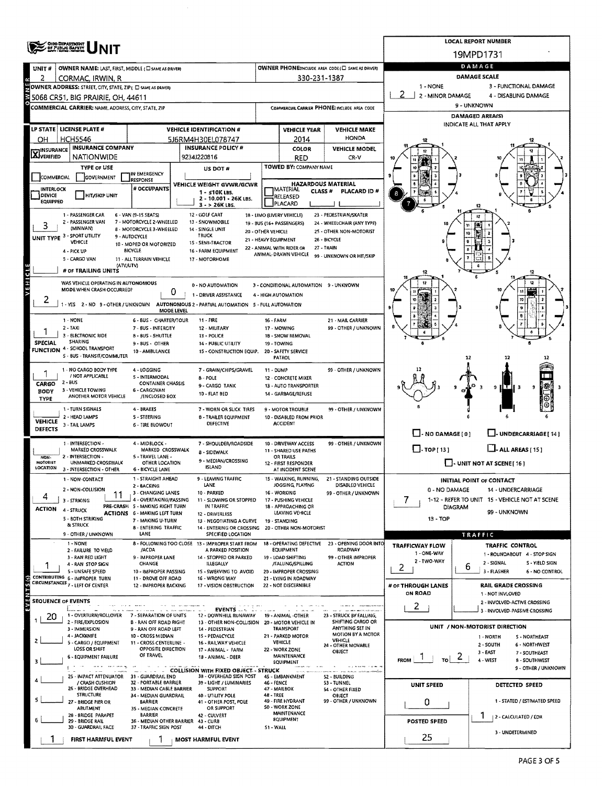|                                                                                             | <b>CHOO DEPARTMENT</b>                                                                   |                                                           | <b>LOCAL REPORT NUMBER</b>                                                               |                                                                              |                                                               |                                                      |                                                                       |                                                        |  |  |  |  |  |
|---------------------------------------------------------------------------------------------|------------------------------------------------------------------------------------------|-----------------------------------------------------------|------------------------------------------------------------------------------------------|------------------------------------------------------------------------------|---------------------------------------------------------------|------------------------------------------------------|-----------------------------------------------------------------------|--------------------------------------------------------|--|--|--|--|--|
|                                                                                             |                                                                                          |                                                           |                                                                                          |                                                                              |                                                               |                                                      |                                                                       | 19MPD1731                                              |  |  |  |  |  |
| UNIT#                                                                                       | OWNER NAME: LAST, FIRST, MIDDLE (E) SAME AS DRIVERY                                      |                                                           | OWNER PHONE:INCLUDE AREA CODE ( ESAME AS DRIVER)                                         | DAMAGE                                                                       |                                                               |                                                      |                                                                       |                                                        |  |  |  |  |  |
| 2                                                                                           | CORMAC, IRWIN, R                                                                         |                                                           | 330-231-1387                                                                             | DAMAGE SCALE                                                                 |                                                               |                                                      |                                                                       |                                                        |  |  |  |  |  |
|                                                                                             | OWNER ADDRESS: STREET, CITY, STATE, ZIP ( C) SAME AS DRIVER)                             |                                                           | 1 - NONE<br>2 - MINOR DAMAGE                                                             | 3 - FUNCTIONAL DAMAGE<br>4 - DISABLING DAMAGE                                |                                                               |                                                      |                                                                       |                                                        |  |  |  |  |  |
|                                                                                             | 5068 CR51, BIG PRAIRIE, OH, 44611<br>COMMERCIAL CARRIER: NAME, ADDRESS, CITY, STATE, ZIP |                                                           | 9 - UNKNOWN                                                                              |                                                                              |                                                               |                                                      |                                                                       |                                                        |  |  |  |  |  |
|                                                                                             |                                                                                          |                                                           |                                                                                          | <b>DAMAGED AREAIS)</b>                                                       |                                                               |                                                      |                                                                       |                                                        |  |  |  |  |  |
|                                                                                             | LP STATE LICENSE PLATE #                                                                 |                                                           | <b>VEHICLE IDENTIFICATION #</b>                                                          |                                                                              | <b>VEHICLE YEAR</b>                                           | <b>VEHICLE MAKE</b>                                  |                                                                       | INDICATE ALL THAT APPLY                                |  |  |  |  |  |
| OH                                                                                          | <b>HCH5546</b>                                                                           |                                                           | 5J6RM4H30EL078747                                                                        |                                                                              | 2014                                                          | <b>HONDA</b>                                         |                                                                       |                                                        |  |  |  |  |  |
| <b>X</b> INSURANCE                                                                          | <b>INSURANCE COMPANY</b>                                                                 |                                                           | <b>INSURANCE POLICY #</b>                                                                |                                                                              | COLOR                                                         | <b>VEHICLE MODEL</b>                                 |                                                                       |                                                        |  |  |  |  |  |
|                                                                                             | <b>NATIONWIDE</b>                                                                        |                                                           | 9234J220816                                                                              |                                                                              | RED<br>TOWED BY: COMPANY NAME                                 | CR-V                                                 |                                                                       |                                                        |  |  |  |  |  |
| <b>COMMERCIAL</b>                                                                           | <b>TYPE OF USE</b><br><b>GOVERNMENT</b>                                                  | IN EMERGENCY                                              | US DOT #                                                                                 |                                                                              |                                                               |                                                      | ю                                                                     |                                                        |  |  |  |  |  |
| <b>INTERLOCK</b>                                                                            |                                                                                          | <b>RESPONSE</b><br># OCCUPANTS                            | VEHICLE WEIGHT GVWR/GCWR                                                                 |                                                                              | IMATERIAL                                                     | <b>HAZARDOUS MATERIAL</b>                            |                                                                       |                                                        |  |  |  |  |  |
| <b>DEVICE</b><br><b>EQUIPPED</b>                                                            | <b>HIT/SKIP UNIT</b>                                                                     | 1 - ≤10K LBS.<br>2 - 10.001 - 26K LBS.                    |                                                                                          |                                                                              | <b>CLASS#</b><br>RELEASED                                     | PLACARD ID#                                          | 8                                                                     |                                                        |  |  |  |  |  |
| PLACARD<br>3 - > 26K LBS.<br>12                                                             |                                                                                          |                                                           |                                                                                          |                                                                              |                                                               |                                                      |                                                                       |                                                        |  |  |  |  |  |
|                                                                                             | 1 - PASSENGER CAR<br>2 - PASSENGER VAN                                                   | 6 - VAN (9-15 SEATS)<br>7 - MOTORCYCLE 2-WHEELED          | 12 GOLF CART<br>13 - SNOWMOBILE                                                          |                                                                              | 18 - LIMO (LIVERY VEHICLE)<br>19 - BUS (16+ PASSENGERS)       | 23 - PEDESTRIAN/SKATER<br>24 - WHEELCHAIR (ANY TYPE) |                                                                       | 12                                                     |  |  |  |  |  |
| 3                                                                                           | (MINNAN)<br>UNIT TYPE 3 - SPORT UTILITY                                                  | 8 - MOTORCYCLE 3 - WHEELED<br>9 - AUTOCYCLE               | 14 - SINGLE UNIT<br>TRUCK                                                                | 20 - OTHER VEHICLE                                                           |                                                               | 25 - OTHER NON-MOTORIST                              |                                                                       | 10                                                     |  |  |  |  |  |
|                                                                                             | VEHICLE                                                                                  | 10 - MOPED OR MOTORIZED                                   | <b>15 - SEMI-TRACTOR</b>                                                                 | 21 - HEAVY EQUIPMENT                                                         | 22 - ANIMAL WITH RIDER OR                                     | 26 - BICYCLE<br>27 - TRAIN                           |                                                                       |                                                        |  |  |  |  |  |
|                                                                                             | 4 - PICK UP<br>5 - CARGO VAN                                                             | BICYCLE<br>11 - ALL TERRAIN VEHICLE                       | 16 - FARM EQUIPMENT<br>17 - MOTORHOME                                                    |                                                                              | ANIMAL-DRAWN VEHICLE                                          | 99 - UNKNOWN OR HIT/SKIP                             |                                                                       |                                                        |  |  |  |  |  |
|                                                                                             | <b>IATVAUTVI</b><br># OF TRAILING UNITS                                                  |                                                           |                                                                                          |                                                                              |                                                               |                                                      |                                                                       |                                                        |  |  |  |  |  |
| леністе                                                                                     | WAS VEHICLE OPERATING IN AUTONOMOUS                                                      |                                                           |                                                                                          |                                                                              |                                                               |                                                      |                                                                       |                                                        |  |  |  |  |  |
|                                                                                             | MODE WHEN CRASH OCCURRED?                                                                | 0                                                         | 0 - NO AUTOMATION<br>1 - DRIVER ASSISTANCE                                               |                                                                              | 3 - CONDITIONAL AUTOMATION 9 - UNKNOWN<br>4 - HIGH AUTOMATION |                                                      |                                                                       |                                                        |  |  |  |  |  |
| ۷                                                                                           |                                                                                          |                                                           | 1 - YES 2 - NO 9 - OTHER / UNKNOWN AUTONOMOUS 2 - PARTIAL AUTOMATION 5 - FULL AUTOMATION |                                                                              |                                                               |                                                      |                                                                       |                                                        |  |  |  |  |  |
|                                                                                             |                                                                                          | MODE LEVEL                                                |                                                                                          |                                                                              |                                                               |                                                      |                                                                       |                                                        |  |  |  |  |  |
|                                                                                             | 1 - NONE<br>$2 - TAXi$                                                                   | 6 - BUS - CHARTER/TOUR<br>7 - BUS - INTERCITY             | 11 - FIRE<br>12 - MILITARY                                                               | <b>16 - FARM</b>                                                             | 17 - MOWING                                                   | 21 - MAIL CARRIER<br>99 - OTHER / UNKNOWN            |                                                                       |                                                        |  |  |  |  |  |
|                                                                                             | 3 - ELECTRONIC RIDE<br>SHARING                                                           | 8 - BUS - SHUTTLE                                         | 13 - POLICE                                                                              |                                                                              | 18 - SNOW REMOVAL                                             |                                                      |                                                                       |                                                        |  |  |  |  |  |
| <b>SPECIAL</b><br><b>FUNCTION</b>                                                           | 4 - SCHOOL TRANSPORT                                                                     | 9 - BUS - OTHER<br>10 - AMBULANCE                         | 14 - PUBLIC UTILITY<br>15 - CONSTRUCTION EQUIP.                                          | 19 - TOWING<br><b>20 - SAFETY SERVICE</b>                                    |                                                               |                                                      |                                                                       |                                                        |  |  |  |  |  |
|                                                                                             | 5 - BUS - TRANSIT/COMMUTER                                                               |                                                           |                                                                                          |                                                                              | <b>PATROL</b>                                                 |                                                      |                                                                       | 12                                                     |  |  |  |  |  |
|                                                                                             | 1 - NO CARGO BODY TYPE<br>/ NOT APPLICABLE                                               | 4 - LOGGING                                               | 7 - GRAIN/CHIPS/GRAVEL                                                                   | 11 - DUMP                                                                    |                                                               | 99 - OTHER / UNKNOWN                                 |                                                                       |                                                        |  |  |  |  |  |
| CARGO                                                                                       | $2 - BUS$                                                                                | 5 - INTERMODAL<br><b>CONTAINER CHASSIS</b>                | 8 - POLE<br>9 - CARGO TANK                                                               |                                                                              | 12 - CONCRETE MIXER<br>13 - AUTO TRANSPORTER                  |                                                      |                                                                       | ÆЕ<br>9                                                |  |  |  |  |  |
| <b>BODY</b><br><b>TYPE</b>                                                                  | 3 - VEHICLE TOWING<br>ANOTHER MOTOR VEHICLE                                              | 6 - CARGOVAN<br>/ENCLOSED BOX                             | 10 - FLAT BED                                                                            |                                                                              | 14 - GARBAGE/REFUSE                                           |                                                      |                                                                       |                                                        |  |  |  |  |  |
|                                                                                             | 1 - TURN SIGNALS                                                                         | 4 - BRAKES                                                | 7 - WORN OR SLICK TIRES                                                                  |                                                                              | 9 - MOTOR TROUBLE                                             | 99 - OTHER / UNKNOWN                                 |                                                                       |                                                        |  |  |  |  |  |
| <b>VEHICLE</b>                                                                              | 2 - HEAD LAMPS<br>3 - TAIL LAMPS                                                         | <b>S-STEERING</b><br><b>6 - TIRE BLOWOUT</b>              | <b>B - TRAILER EQUIPMENT</b><br>DEFECTIVE                                                |                                                                              | 10 - DISABLED FROM PRIOR<br><b>ACCIDENT</b>                   |                                                      |                                                                       |                                                        |  |  |  |  |  |
| <b>DEFECTS</b>                                                                              |                                                                                          |                                                           |                                                                                          |                                                                              |                                                               |                                                      | $\Box$ - NO DAMAGE $(0)$                                              | U-UNDERCARRIAGE [ 14 ]                                 |  |  |  |  |  |
|                                                                                             | 1 - INTERSECTION -                                                                       | 4 - MIDBLOCK -<br>MARKED CROSSWALK                        | 7 - SHOULDER/ROADSIDE                                                                    |                                                                              | 10 - DRIVEWAY ACCESS                                          | 99 - OTHER / UNKNOWN                                 | $\Box$ -TOP[13]                                                       | $\Box$ - ALL AREAS (15)                                |  |  |  |  |  |
| NON-                                                                                        | MARKED CROSSWALK<br>2 - INTERSECTION -                                                   | 5 - TRAVEL LANE -                                         | 8 - SIDEWALK<br>9 - MEDIAN/CROSSING                                                      |                                                                              | 11 - SHARED USE PATHS<br>OR TRAILS                            |                                                      |                                                                       |                                                        |  |  |  |  |  |
| MOTORIST<br><b>LOCATION</b>                                                                 | UNMARKED CROSSWALK<br>3 - INTERSECTION - OTHER                                           | OTHER LOCATION<br><b>6 - BICYCLE LANE</b>                 | ISLAND                                                                                   |                                                                              | 12 - FIRST RESPONDER<br>AT INCIDENT SCENE                     |                                                      | $\Box$ - UNIT NOT AT SCENE [16]                                       |                                                        |  |  |  |  |  |
|                                                                                             | 1 - NON-CONTACT                                                                          | 1 - STRAIGHT AHEAD                                        | 9 - LEAVING TRAFFIC<br>LANE                                                              |                                                                              | 15 - WALKING, RUNNING,                                        | 21 - STANDING OUTSIDE                                | <b>INITIAL POINT OF CONTACT</b>                                       |                                                        |  |  |  |  |  |
|                                                                                             | 2 - NON-COLLISION<br>11                                                                  | 2 - BACKING<br>3 - CHANGING LANES                         | 10 - PARKED                                                                              | JOGGING, PLAYING<br>DISABLED VEHICLE<br>16 - WORKING<br>99 - OTHER / UNKNOWN |                                                               |                                                      | 0 - NO DAMAGE                                                         | 14 - UNDERCARRIAGE                                     |  |  |  |  |  |
| <b>ACTION</b>                                                                               | 3 - STRIKING                                                                             | 4 - OVERTAKING/PASSING<br>PRE-CRASH 5 - MAKING RIGHT TURN | 11 - SLOWING OR STOPPED<br>IN TRAFFIC                                                    |                                                                              | 17 - PUSHING VEHICLE<br>18 - APPROACHING OR                   |                                                      | 7<br>1-12 - REFER TO UNIT 15 - VEHICLE NOT AT SCENE<br><b>DIAGRAM</b> |                                                        |  |  |  |  |  |
|                                                                                             | 4 - STRUCK<br>5 - BOTH STRIKING                                                          | ACTIONS 6 - MAKING LEFT TURN<br>7 - MAKING U-TURN         | 12 - DRIVERLESS<br>13 - NEGOTIATING A CURVE                                              |                                                                              | LEAVING VEHICLE<br>19 - STANDING                              |                                                      | 99 - UNKNOWN<br>13 - TOP                                              |                                                        |  |  |  |  |  |
|                                                                                             | & STRUCK                                                                                 | 8 - ENTERING TRAFFIC                                      | 14 - ENTERING OR CROSSING                                                                |                                                                              | 20 - OTHER NON-MOTORIST                                       |                                                      |                                                                       |                                                        |  |  |  |  |  |
|                                                                                             | 9 - OTHER / UNKNOWN<br>1 - NONE                                                          | LANE                                                      | SPECIFIED LOCATION<br>8 - FOLLOWING TOO CLOSE 13 - IMPROPER START FROM                   |                                                                              | 18 - OPERATING DEFECTIVE                                      | 23 - OPENING DOOR INTO                               |                                                                       | TRAFFIC                                                |  |  |  |  |  |
|                                                                                             | 2 - FAILURE TO VIELD<br>3 - RAN RED LIGHT                                                | /ACDA<br>9 - IMPROPER LANE                                | A PARKED POSITION<br>14 - STOPPED OR PARKED                                              |                                                                              | <b>EQUIPMENT</b><br>19 - LOAD SHIFTING                        | ROADWAY<br>99 - OTHER IMPROPER                       | <b>TRAFFICWAY FLOW</b><br>1 - ONE-WAY                                 | <b>TRAFFIC CONTROL</b><br>1 - ROUNDABOUT 4 - STOP SIGN |  |  |  |  |  |
|                                                                                             | 4 - RAN STOP SIGN                                                                        | CHANGE                                                    | <b>ILLEGALLY</b>                                                                         |                                                                              | /FALLING/SPILLING                                             | <b>ACTION</b>                                        | 2 - TWO-WAY<br>2                                                      | 2 - SIGNAL<br>S - YIELD SIGN<br>6                      |  |  |  |  |  |
|                                                                                             | 5 - UNSAFE SPEED<br>CONTRIBUTING 6 - IMPROPER TURN                                       | 10 - IMPROPER PASSING<br>11 - DROVE OFF ROAD              | 15 - SWERVING TO AVOID<br>16 - WRONG WAY                                                 |                                                                              | 20 - IMPROPER CROSSING<br>21 - LYING IN ROADWAY               |                                                      |                                                                       | 3 - FLASHER<br>6 - NO CONTROL                          |  |  |  |  |  |
| ري<br>ا<br>TN                                                                               | CIRCUMSTANCES 7 - LEFT OF CENTER                                                         | 12 - IMPROPER BACKING                                     | 17 - VISION OBSTRUCTION                                                                  |                                                                              | 22 - NOT DISCERNIBLE                                          |                                                      | # OF THROUGH LANES                                                    | <b>RAIL GRADE CROSSING</b>                             |  |  |  |  |  |
| w<br><b>SEQUENCE OF EVENTS</b>                                                              |                                                                                          |                                                           |                                                                                          |                                                                              |                                                               |                                                      | ON ROAD                                                               | 1 - NOT INVLOVED<br>2 - INVOLVED-ACTIVE CROSSING       |  |  |  |  |  |
|                                                                                             | 1 - OVERTURN/ROLLOVER                                                                    | 7 - SEPARATION OF UNITS                                   | EVENTS $\ldots$ $\ldots$<br>12 - DOWNHILL RUNAWAY                                        |                                                                              | 19 - ANIMAL -OTHER                                            | 23 - STRUCK BY FALLING,                              | 2                                                                     | 3 - INVOLVED-PASSIVE CROSSING                          |  |  |  |  |  |
| 20                                                                                          | 2 - FIRE/EXPLOSION                                                                       | <b>B - RAN OFF ROAD RIGHT</b>                             | 13 - OTHER NON-COLLISION 20 - MOTOR VEHICLE IN                                           |                                                                              |                                                               | SHIFTING CARGO OR                                    |                                                                       | UNIT / NON-MOTORIST DIRECTION                          |  |  |  |  |  |
|                                                                                             | 3 - IMMERSION<br>4 - JACKKNIFE                                                           | 9 - RAN OFF ROAD LEFT<br>10 - CROSS MEDIAN                | 14 - PEDESTRIAN<br>15 - PEDALCYCLE                                                       |                                                                              | <b>TRANSPORT</b><br>21 - PARKED MOTOR                         | ANYTHING SET IN<br>MOTION BY A MOTOR                 |                                                                       | 1 - NORTH<br>S - NORTHEAST                             |  |  |  |  |  |
|                                                                                             | 5 - CARGO / EQUIPMENT<br>LOSS OR SHIFT                                                   | 11 - CROSS CENTERLINE -<br>OPPOSITE DIRECTION             | 16 - RAILWAY VEHICLE<br>17 - ANIMAL - FARM                                               |                                                                              | VEHICLE<br>22 - WORK ZONE                                     | VEHICLE<br>24 - OTHER MOVABLE<br>OBJECT              |                                                                       | 2 - SOUTH<br>6 - NORTHWEST                             |  |  |  |  |  |
|                                                                                             | <b>6 - EQUIPMENT FAILURE</b>                                                             | OF TRAVEL                                                 | 18 - ANIMAL - DEER                                                                       |                                                                              | MAINTENANCE<br>EQUIPMENT                                      |                                                      | τoΙ<br><b>FROM</b>                                                    | 3 - EAST<br>7 - SOUTHEAST<br>4 - WEST<br>8 - SOUTHWEST |  |  |  |  |  |
| www.communication.org<br>9 - OTHER / UNKNOWN<br><b>COLLISION WITH FIXED OBJECT - STRUCK</b> |                                                                                          |                                                           |                                                                                          |                                                                              |                                                               |                                                      |                                                                       |                                                        |  |  |  |  |  |
|                                                                                             | 25 - IMPACT ATTENUATOR 31 - GUARDRAIL END<br>/ CRASH CUSHION                             | 32 - PORTABLE BARRIER                                     | 38 - OVERHEAD SIGN POST<br>39 - LIGHT / LUMINARIES                                       | 46 - FENCE                                                                   | 45 - EMBANKMENT                                               | 52 - BUILDING<br>53 - TUNNEL                         | <b>UNIT SPEED</b>                                                     | DETECTED SPEED                                         |  |  |  |  |  |
|                                                                                             | 26 - BRIDGE OVERHEAD<br><b>STRUCTURE</b>                                                 | 33 - MEDIAN CABLE BARRIER<br>34 - MEDIAN GUARDRAIL        | <b>SUPPORT</b><br>40 - UTILITY POLE                                                      | 47 - MAILBOX<br>48 - TREE                                                    |                                                               | 54 - OTHER FIXED<br>OBJECT                           |                                                                       |                                                        |  |  |  |  |  |
|                                                                                             | 27 - BRIDGE PIER OR<br>ABUTMENT                                                          | BARRIER<br>35 - MEDIAN CONCRETE                           | 41 - OTHER POST, POLE<br>OR SUPPORT                                                      |                                                                              | 49 - FIRE HYDRANT<br>50 - WORK ZONE                           | 99 - OTHER / UNKNOWN                                 | 0                                                                     | 1 - STATED / ESTIMATED SPEED                           |  |  |  |  |  |
|                                                                                             | 28 - BRIDGE PARAPET<br>29 - BRIDGE RAIL                                                  | <b>BARRIER</b><br>36 - MEDIAN OTHER BARRIER 43 - CURB     | 42 - CULVERT                                                                             |                                                                              | MAINTENANCE<br>EQUIPMENT                                      |                                                      | <b>POSTED SPEED</b>                                                   | 2 - CALCULATED / EDR                                   |  |  |  |  |  |
|                                                                                             | 30 - GUARDRAIL FACE                                                                      | 37 - TRAFFIC SIGN POST                                    | 44 - DITCH                                                                               | 51 - WALL                                                                    |                                                               |                                                      |                                                                       | 3 - UNDETERMINED                                       |  |  |  |  |  |
|                                                                                             | FIRST HARMFUL EVENT                                                                      |                                                           | <b>MOST HARMFUL EVENT</b>                                                                |                                                                              |                                                               |                                                      | 25                                                                    |                                                        |  |  |  |  |  |